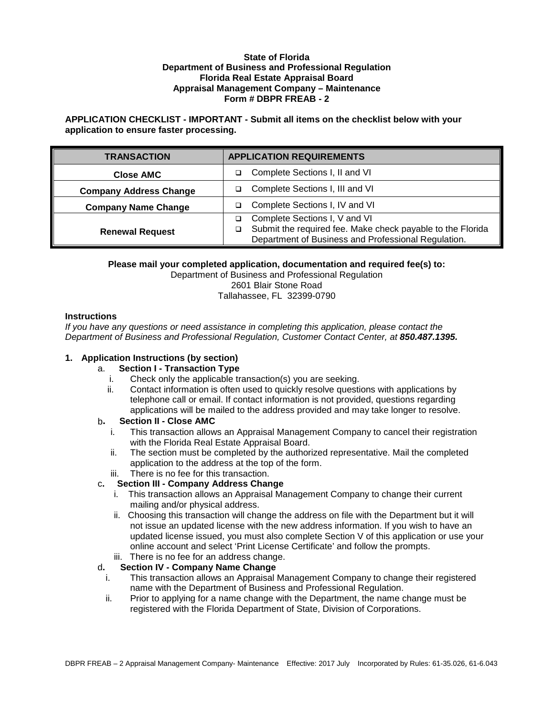#### **State of Florida Department of Business and Professional Regulation Florida Real Estate Appraisal Board Appraisal Management Company – Maintenance Form # DBPR FREAB - 2**

# **APPLICATION CHECKLIST - IMPORTANT - Submit all items on the checklist below with your application to ensure faster processing.**

| <b>TRANSACTION</b>            | <b>APPLICATION REQUIREMENTS</b>                            |
|-------------------------------|------------------------------------------------------------|
| <b>Close AMC</b>              | Complete Sections I, II and VI                             |
| <b>Company Address Change</b> | Complete Sections I, III and VI                            |
| <b>Company Name Change</b>    | Complete Sections I, IV and VI                             |
|                               | Complete Sections I, V and VI                              |
| <b>Renewal Request</b>        | Submit the required fee. Make check payable to the Florida |
|                               | Department of Business and Professional Regulation.        |

## **Please mail your completed application, documentation and required fee(s) to:**

Department of Business and Professional Regulation 2601 Blair Stone Road Tallahassee, FL 32399-0790

#### **Instructions**

*If you have any questions or need assistance in completing this application, please contact the Department of Business and Professional Regulation, Customer Contact Center, at 850.487.1395.*

# **1. Application Instructions (by section)**

#### a. **Section I - Transaction Type**

- i. Check only the applicable transaction(s) you are seeking.
- ii. Contact information is often used to quickly resolve questions with applications by telephone call or email. If contact information is not provided, questions regarding applications will be mailed to the address provided and may take longer to resolve.

# b**. Section II - Close AMC**

- i. This transaction allows an Appraisal Management Company to cancel their registration with the Florida Real Estate Appraisal Board.
- ii. The section must be completed by the authorized representative. Mail the completed application to the address at the top of the form.
- iii. There is no fee for this transaction.

# c**. Section III - Company Address Change**

- i. This transaction allows an Appraisal Management Company to change their current mailing and/or physical address.
- ii. Choosing this transaction will change the address on file with the Department but it will not issue an updated license with the new address information. If you wish to have an updated license issued, you must also complete Section V of this application or use your online account and select 'Print License Certificate' and follow the prompts.
- iii. There is no fee for an address change.

# d**. Section IV - Company Name Change**

- i. This transaction allows an Appraisal Management Company to change their registered name with the Department of Business and Professional Regulation.
- ii. Prior to applying for a name change with the Department, the name change must be registered with the Florida Department of State, Division of Corporations.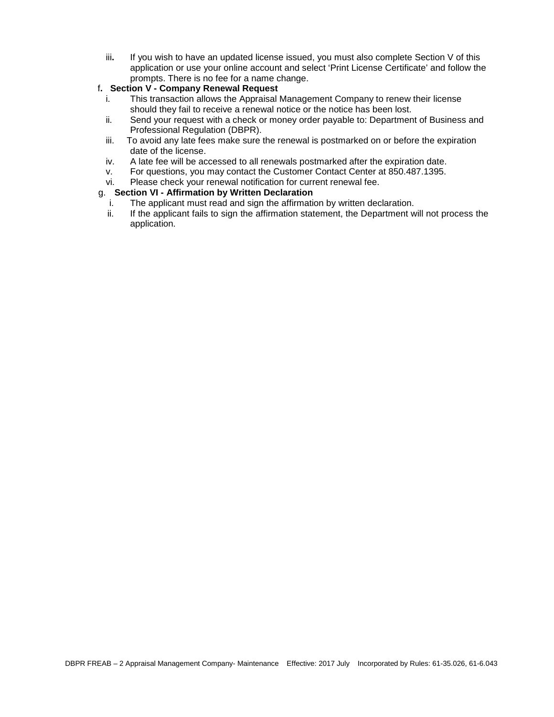iii**.** If you wish to have an updated license issued, you must also complete Section V of this application or use your online account and select 'Print License Certificate' and follow the prompts. There is no fee for a name change.

# f**. Section V - Company Renewal Request**

- This transaction allows the Appraisal Management Company to renew their license should they fail to receive a renewal notice or the notice has been lost.
- ii. Send your request with a check or money order payable to: Department of Business and Professional Regulation (DBPR).
- iii. To avoid any late fees make sure the renewal is postmarked on or before the expiration date of the license.
- iv. A late fee will be accessed to all renewals postmarked after the expiration date.
- v. For questions, you may contact the Customer Contact Center at 850.487.1395.
- vi. Please check your renewal notification for current renewal fee.

## g. **Section VI - Affirmation by Written Declaration**

- i. The applicant must read and sign the affirmation by written declaration.
- ii. If the applicant fails to sign the affirmation statement, the Department will not process the application.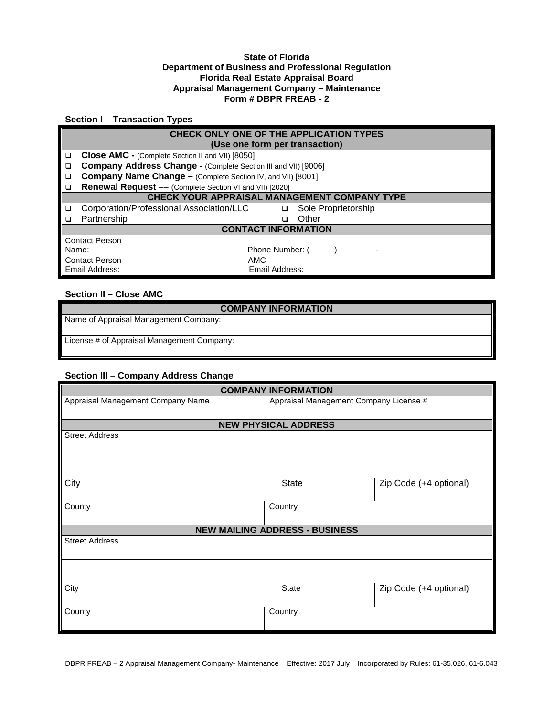#### **State of Florida Department of Business and Professional Regulation Florida Real Estate Appraisal Board Appraisal Management Company – Maintenance Form # DBPR FREAB - 2**

# **Section I – Transaction Types**

|                                     | CHECK ONLY ONE OF THE APPLICATION TYPES                        |                          |  |  |  |
|-------------------------------------|----------------------------------------------------------------|--------------------------|--|--|--|
|                                     | (Use one form per transaction)                                 |                          |  |  |  |
| □                                   | Close AMC - (Complete Section II and VII) [8050]               |                          |  |  |  |
| □                                   | Company Address Change - (Complete Section III and VII) [9006] |                          |  |  |  |
| □                                   | Company Name Change - (Complete Section IV, and VII) [8001]    |                          |  |  |  |
| □                                   | Renewal Request - (Complete Section VI and VII) [2020]         |                          |  |  |  |
|                                     | CHECK YOUR APPRAISAL MANAGEMENT COMPANY TYPE                   |                          |  |  |  |
| □                                   | Corporation/Professional Association/LLC                       | Sole Proprietorship<br>□ |  |  |  |
| ◻                                   | Partnership                                                    | Other                    |  |  |  |
| <b>CONTACT INFORMATION</b>          |                                                                |                          |  |  |  |
|                                     | <b>Contact Person</b>                                          |                          |  |  |  |
|                                     | Phone Number: (<br>Name:                                       |                          |  |  |  |
| <b>Contact Person</b><br><b>AMC</b> |                                                                |                          |  |  |  |
| Email Address:<br>Email Address:    |                                                                |                          |  |  |  |

# **Section II – Close AMC**

| <b>COMPANY INFORMATION</b>                 |
|--------------------------------------------|
| Name of Appraisal Management Company:      |
|                                            |
| License # of Appraisal Management Company: |
|                                            |

## **Section III – Company Address Change**

| <b>COMPANY INFORMATION</b>        |                                        |                        |  |  |  |  |
|-----------------------------------|----------------------------------------|------------------------|--|--|--|--|
| Appraisal Management Company Name | Appraisal Management Company License # |                        |  |  |  |  |
|                                   |                                        |                        |  |  |  |  |
| <b>NEW PHYSICAL ADDRESS</b>       |                                        |                        |  |  |  |  |
| <b>Street Address</b>             |                                        |                        |  |  |  |  |
|                                   |                                        |                        |  |  |  |  |
| City                              | <b>State</b>                           | Zip Code (+4 optional) |  |  |  |  |
| County                            | Country                                |                        |  |  |  |  |
|                                   | <b>NEW MAILING ADDRESS - BUSINESS</b>  |                        |  |  |  |  |
| <b>Street Address</b>             |                                        |                        |  |  |  |  |
|                                   |                                        |                        |  |  |  |  |
| City                              | State                                  | Zip Code (+4 optional) |  |  |  |  |
| County                            | Country                                |                        |  |  |  |  |